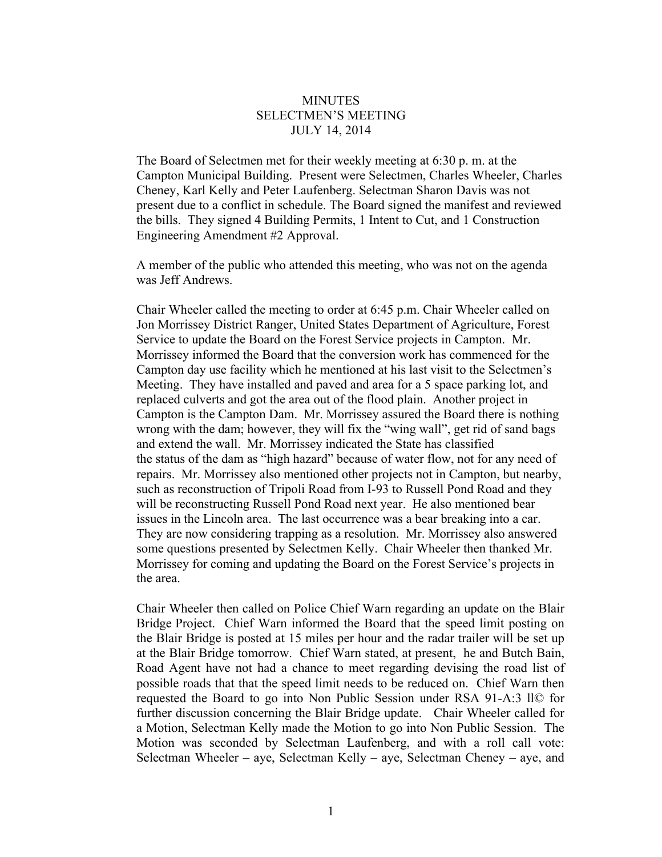## **MINUTES** SELECTMEN'S MEETING JULY 14, 2014

The Board of Selectmen met for their weekly meeting at 6:30 p. m. at the Campton Municipal Building. Present were Selectmen, Charles Wheeler, Charles Cheney, Karl Kelly and Peter Laufenberg. Selectman Sharon Davis was not present due to a conflict in schedule. The Board signed the manifest and reviewed the bills. They signed 4 Building Permits, 1 Intent to Cut, and 1 Construction Engineering Amendment #2 Approval.

A member of the public who attended this meeting, who was not on the agenda was Jeff Andrews.

Chair Wheeler called the meeting to order at 6:45 p.m. Chair Wheeler called on Jon Morrissey District Ranger, United States Department of Agriculture, Forest Service to update the Board on the Forest Service projects in Campton. Mr. Morrissey informed the Board that the conversion work has commenced for the Campton day use facility which he mentioned at his last visit to the Selectmen's Meeting. They have installed and paved and area for a 5 space parking lot, and replaced culverts and got the area out of the flood plain. Another project in Campton is the Campton Dam. Mr. Morrissey assured the Board there is nothing wrong with the dam; however, they will fix the "wing wall", get rid of sand bags and extend the wall. Mr. Morrissey indicated the State has classified the status of the dam as "high hazard" because of water flow, not for any need of repairs. Mr. Morrissey also mentioned other projects not in Campton, but nearby, such as reconstruction of Tripoli Road from I-93 to Russell Pond Road and they will be reconstructing Russell Pond Road next year. He also mentioned bear issues in the Lincoln area. The last occurrence was a bear breaking into a car. They are now considering trapping as a resolution. Mr. Morrissey also answered some questions presented by Selectmen Kelly. Chair Wheeler then thanked Mr. Morrissey for coming and updating the Board on the Forest Service's projects in the area.

Chair Wheeler then called on Police Chief Warn regarding an update on the Blair Bridge Project. Chief Warn informed the Board that the speed limit posting on the Blair Bridge is posted at 15 miles per hour and the radar trailer will be set up at the Blair Bridge tomorrow. Chief Warn stated, at present, he and Butch Bain, Road Agent have not had a chance to meet regarding devising the road list of possible roads that that the speed limit needs to be reduced on. Chief Warn then requested the Board to go into Non Public Session under RSA 91-A:3 ll© for further discussion concerning the Blair Bridge update. Chair Wheeler called for a Motion, Selectman Kelly made the Motion to go into Non Public Session. The Motion was seconded by Selectman Laufenberg, and with a roll call vote: Selectman Wheeler – aye, Selectman Kelly – aye, Selectman Cheney – aye, and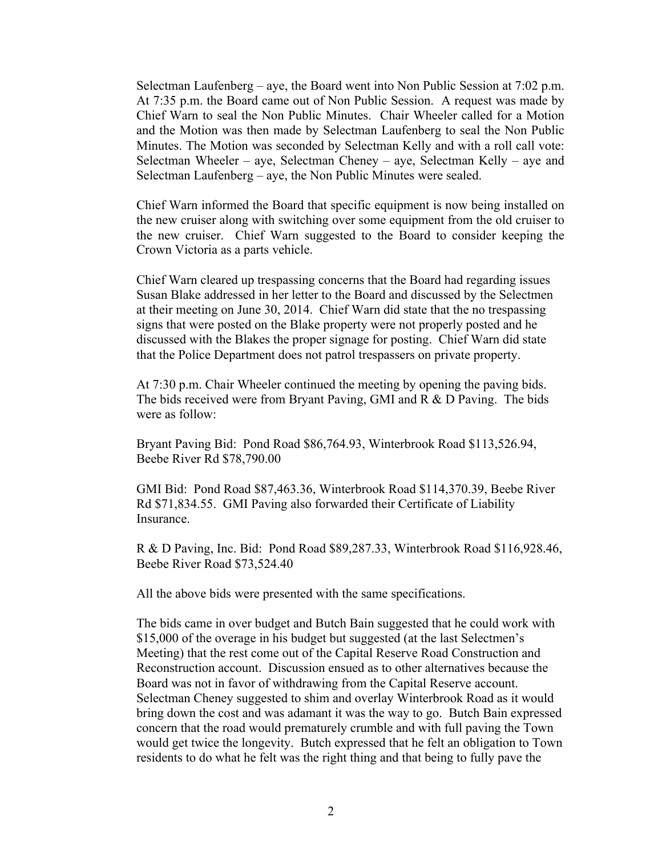Selectman Laufenberg – aye, the Board went into Non Public Session at  $7:02$  p.m. At 7:35 p.m. the Board came out of Non Public Session. A request was made by Chief Warn to seal the Non Public Minutes. Chair Wheeler called for a Motion and the Motion was then made by Selectman Laufenberg to seal the Non Public Minutes. The Motion was seconded by Selectman Kelly and with a roll call vote: Selectman Wheeler – aye, Selectman Cheney – aye, Selectman Kelly – aye and Selectman Laufenberg – aye, the Non Public Minutes were sealed.

Chief Warn informed the Board that specific equipment is now being installed on the new cruiser along with switching over some equipment from the old cruiser to the new cruiser. Chief Warn suggested to the Board to consider keeping the Crown Victoria as a parts vehicle.

Chief Warn cleared up trespassing concerns that the Board had regarding issues Susan Blake addressed in her letter to the Board and discussed by the Selectmen at their meeting on June 30, 2014. Chief Warn did state that the no trespassing signs that were posted on the Blake property were not properly posted and he discussed with the Blakes the proper signage for posting. Chief Warn did state that the Police Department does not patrol trespassers on private property.

At 7:30 p.m. Chair Wheeler continued the meeting by opening the paving bids. The bids received were from Bryant Paving, GMI and R & D Paving. The bids were as follow:

Bryant Paving Bid: Pond Road \$86,764.93, Winterbrook Road \$113,526.94, Beebe River Rd \$78,790.00

GMI Bid: Pond Road \$87,463.36, Winterbrook Road \$114,370.39, Beebe River Rd \$71,834.55. GMI Paving also forwarded their Certificate of Liability Insurance.

R & D Paving, Inc. Bid: Pond Road \$89,287.33, Winterbrook Road \$116,928.46, Beebe River Road \$73,524.40

All the above bids were presented with the same specifications.

The bids came in over budget and Butch Bain suggested that he could work with \$15,000 of the overage in his budget but suggested (at the last Selectmen's Meeting) that the rest come out of the Capital Reserve Road Construction and Reconstruction account. Discussion ensued as to other alternatives because the Board was not in favor of withdrawing from the Capital Reserve account. Selectman Cheney suggested to shim and overlay Winterbrook Road as it would bring down the cost and was adamant it was the way to go. Butch Bain expressed concern that the road would prematurely crumble and with full paving the Town would get twice the longevity. Butch expressed that he felt an obligation to Town residents to do what he felt was the right thing and that being to fully pave the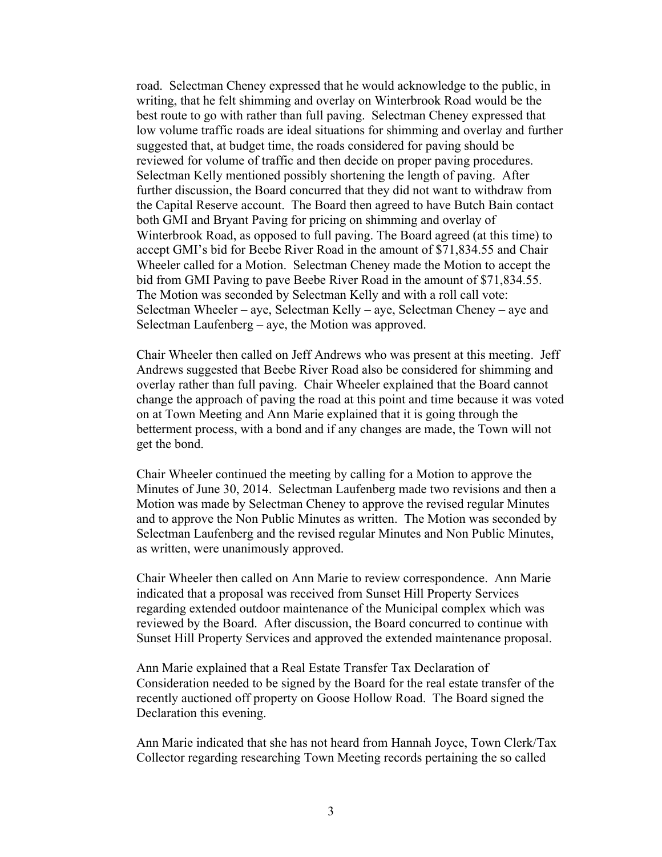road. Selectman Cheney expressed that he would acknowledge to the public, in writing, that he felt shimming and overlay on Winterbrook Road would be the best route to go with rather than full paving. Selectman Cheney expressed that low volume traffic roads are ideal situations for shimming and overlay and further suggested that, at budget time, the roads considered for paving should be reviewed for volume of traffic and then decide on proper paving procedures. Selectman Kelly mentioned possibly shortening the length of paving. After further discussion, the Board concurred that they did not want to withdraw from the Capital Reserve account. The Board then agreed to have Butch Bain contact both GMI and Bryant Paving for pricing on shimming and overlay of Winterbrook Road, as opposed to full paving. The Board agreed (at this time) to accept GMI's bid for Beebe River Road in the amount of \$71,834.55 and Chair Wheeler called for a Motion. Selectman Cheney made the Motion to accept the bid from GMI Paving to pave Beebe River Road in the amount of \$71,834.55. The Motion was seconded by Selectman Kelly and with a roll call vote: Selectman Wheeler – aye, Selectman Kelly – aye, Selectman Cheney – aye and Selectman Laufenberg – aye, the Motion was approved.

Chair Wheeler then called on Jeff Andrews who was present at this meeting. Jeff Andrews suggested that Beebe River Road also be considered for shimming and overlay rather than full paving. Chair Wheeler explained that the Board cannot change the approach of paving the road at this point and time because it was voted on at Town Meeting and Ann Marie explained that it is going through the betterment process, with a bond and if any changes are made, the Town will not get the bond.

Chair Wheeler continued the meeting by calling for a Motion to approve the Minutes of June 30, 2014. Selectman Laufenberg made two revisions and then a Motion was made by Selectman Cheney to approve the revised regular Minutes and to approve the Non Public Minutes as written. The Motion was seconded by Selectman Laufenberg and the revised regular Minutes and Non Public Minutes, as written, were unanimously approved.

Chair Wheeler then called on Ann Marie to review correspondence. Ann Marie indicated that a proposal was received from Sunset Hill Property Services regarding extended outdoor maintenance of the Municipal complex which was reviewed by the Board. After discussion, the Board concurred to continue with Sunset Hill Property Services and approved the extended maintenance proposal.

Ann Marie explained that a Real Estate Transfer Tax Declaration of Consideration needed to be signed by the Board for the real estate transfer of the recently auctioned off property on Goose Hollow Road. The Board signed the Declaration this evening.

Ann Marie indicated that she has not heard from Hannah Joyce, Town Clerk/Tax Collector regarding researching Town Meeting records pertaining the so called